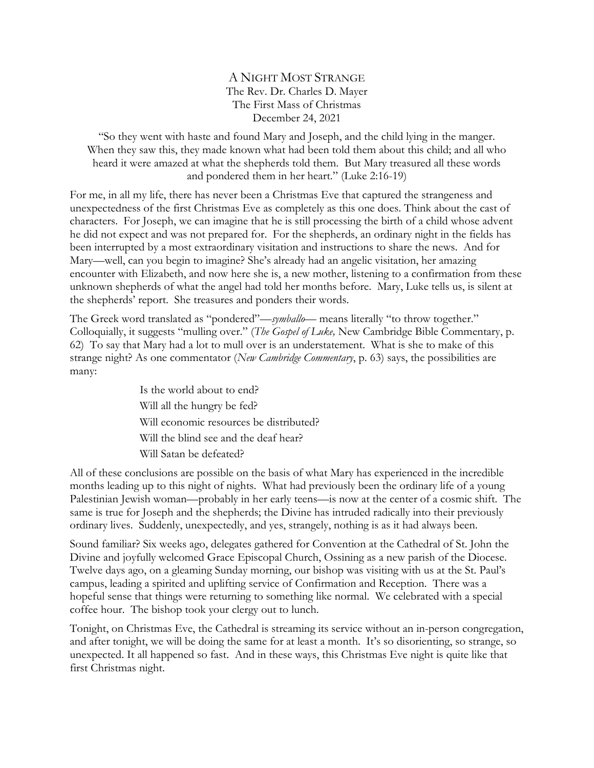A NIGHT MOST STRANGE The Rev. Dr. Charles D. Mayer The First Mass of Christmas December 24, 2021

"So they went with haste and found Mary and Joseph, and the child lying in the manger. When they saw this, they made known what had been told them about this child; and all who heard it were amazed at what the shepherds told them. But Mary treasured all these words and pondered them in her heart." (Luke 2:16-19)

For me, in all my life, there has never been a Christmas Eve that captured the strangeness and unexpectedness of the first Christmas Eve as completely as this one does. Think about the cast of characters. For Joseph, we can imagine that he is still processing the birth of a child whose advent he did not expect and was not prepared for. For the shepherds, an ordinary night in the fields has been interrupted by a most extraordinary visitation and instructions to share the news. And for Mary—well, can you begin to imagine? She's already had an angelic visitation, her amazing encounter with Elizabeth, and now here she is, a new mother, listening to a confirmation from these unknown shepherds of what the angel had told her months before. Mary, Luke tells us, is silent at the shepherds' report. She treasures and ponders their words.

The Greek word translated as "pondered"—*symballo*— means literally "to throw together." Colloquially, it suggests "mulling over." (*The Gospel of Luke,* New Cambridge Bible Commentary, p. 62) To say that Mary had a lot to mull over is an understatement. What is she to make of this strange night? As one commentator (*New Cambridge Commentary*, p. 63) says, the possibilities are many:

> Is the world about to end? Will all the hungry be fed? Will economic resources be distributed? Will the blind see and the deaf hear? Will Satan be defeated?

All of these conclusions are possible on the basis of what Mary has experienced in the incredible months leading up to this night of nights. What had previously been the ordinary life of a young Palestinian Jewish woman—probably in her early teens—is now at the center of a cosmic shift. The same is true for Joseph and the shepherds; the Divine has intruded radically into their previously ordinary lives. Suddenly, unexpectedly, and yes, strangely, nothing is as it had always been.

Sound familiar? Six weeks ago, delegates gathered for Convention at the Cathedral of St. John the Divine and joyfully welcomed Grace Episcopal Church, Ossining as a new parish of the Diocese. Twelve days ago, on a gleaming Sunday morning, our bishop was visiting with us at the St. Paul's campus, leading a spirited and uplifting service of Confirmation and Reception. There was a hopeful sense that things were returning to something like normal. We celebrated with a special coffee hour. The bishop took your clergy out to lunch.

Tonight, on Christmas Eve, the Cathedral is streaming its service without an in-person congregation, and after tonight, we will be doing the same for at least a month. It's so disorienting, so strange, so unexpected. It all happened so fast. And in these ways, this Christmas Eve night is quite like that first Christmas night.